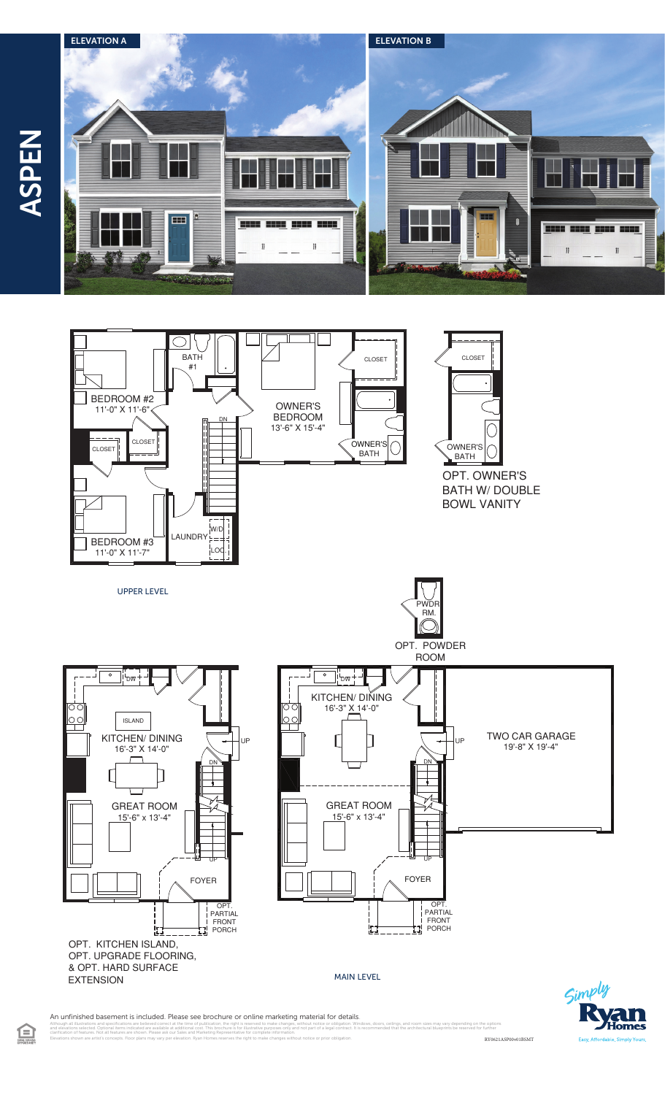





doors, ceilings, and room sizes may vary depending on the options<br>nmended that the architectural blueprints be reserved for further



An unfinished basement is included. Please see brochure or online marketing material for details.

clarification of features. Not all features are shown. Please ask our Sales and Marketing Representative for complete information. Elevations shown are artist's concepts. Floor plans may vary per elevation. Ryan Homes reserves the right to make changes without notice or prior obligation. RY0621ASP00v01BSMT